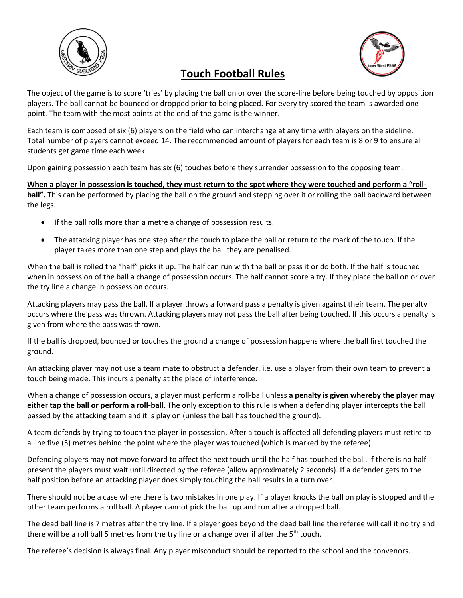

# **Touch Football Rules**

The object of the game is to score 'tries' by placing the ball on or over the score-line before being touched by opposition players. The ball cannot be bounced or dropped prior to being placed. For every try scored the team is awarded one point. The team with the most points at the end of the game is the winner.

Each team is composed of six (6) players on the field who can interchange at any time with players on the sideline. Total number of players cannot exceed 14. The recommended amount of players for each team is 8 or 9 to ensure all students get game time each week.

Upon gaining possession each team has six (6) touches before they surrender possession to the opposing team.

**When a player in possession is touched, they must return to the spot where they were touched and perform a "rollball".** This can be performed by placing the ball on the ground and stepping over it or rolling the ball backward between the legs.

- If the ball rolls more than a metre a change of possession results.
- The attacking player has one step after the touch to place the ball or return to the mark of the touch. If the player takes more than one step and plays the ball they are penalised.

When the ball is rolled the "half" picks it up. The half can run with the ball or pass it or do both. If the half is touched when in possession of the ball a change of possession occurs. The half cannot score a try. If they place the ball on or over the try line a change in possession occurs.

Attacking players may pass the ball. If a player throws a forward pass a penalty is given against their team. The penalty occurs where the pass was thrown. Attacking players may not pass the ball after being touched. If this occurs a penalty is given from where the pass was thrown.

If the ball is dropped, bounced or touches the ground a change of possession happens where the ball first touched the ground.

An attacking player may not use a team mate to obstruct a defender. i.e. use a player from their own team to prevent a touch being made. This incurs a penalty at the place of interference.

When a change of possession occurs, a player must perform a roll-ball unless **a penalty is given whereby the player may either tap the ball or perform a roll-ball.** The only exception to this rule is when a defending player intercepts the ball passed by the attacking team and it is play on (unless the ball has touched the ground).

A team defends by trying to touch the player in possession. After a touch is affected all defending players must retire to a line five (5) metres behind the point where the player was touched (which is marked by the referee).

Defending players may not move forward to affect the next touch until the half has touched the ball. If there is no half present the players must wait until directed by the referee (allow approximately 2 seconds). If a defender gets to the half position before an attacking player does simply touching the ball results in a turn over.

There should not be a case where there is two mistakes in one play. If a player knocks the ball on play is stopped and the other team performs a roll ball. A player cannot pick the ball up and run after a dropped ball.

The dead ball line is 7 metres after the try line. If a player goes beyond the dead ball line the referee will call it no try and there will be a roll ball 5 metres from the try line or a change over if after the  $5<sup>th</sup>$  touch.

The referee's decision is always final. Any player misconduct should be reported to the school and the convenors.